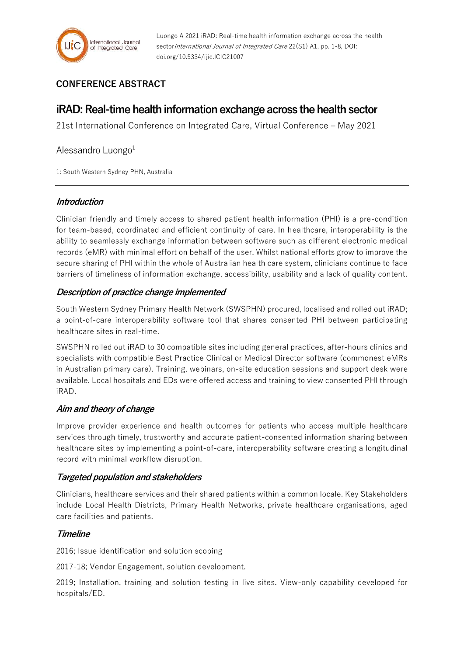## **CONFERENCE ABSTRACT**

# **iRAD: Real-time health information exchange across the health sector**

21st International Conference on Integrated Care, Virtual Conference – May 2021

### Alessandro Luongo $1$

1: South Western Sydney PHN, Australia

#### **Introduction**

Clinician friendly and timely access to shared patient health information (PHI) is a pre-condition for team-based, coordinated and efficient continuity of care. In healthcare, interoperability is the ability to seamlessly exchange information between software such as different electronic medical records (eMR) with minimal effort on behalf of the user. Whilst national efforts grow to improve the secure sharing of PHI within the whole of Australian health care system, clinicians continue to face barriers of timeliness of information exchange, accessibility, usability and a lack of quality content.

### **Description of practice change implemented**

South Western Sydney Primary Health Network (SWSPHN) procured, localised and rolled out iRAD; a point-of-care interoperability software tool that shares consented PHI between participating healthcare sites in real-time.

SWSPHN rolled out iRAD to 30 compatible sites including general practices, after-hours clinics and specialists with compatible Best Practice Clinical or Medical Director software (commonest eMRs in Australian primary care). Training, webinars, on-site education sessions and support desk were available. Local hospitals and EDs were offered access and training to view consented PHI through iRAD.

### **Aim and theory of change**

Improve provider experience and health outcomes for patients who access multiple healthcare services through timely, trustworthy and accurate patient-consented information sharing between healthcare sites by implementing a point-of-care, interoperability software creating a longitudinal record with minimal workflow disruption.

### **Targeted population and stakeholders**

Clinicians, healthcare services and their shared patients within a common locale. Key Stakeholders include Local Health Districts, Primary Health Networks, private healthcare organisations, aged care facilities and patients.

### **Timeline**

2016; Issue identification and solution scoping

2017-18; Vendor Engagement, solution development.

2019; Installation, training and solution testing in live sites. View-only capability developed for hospitals/ED.